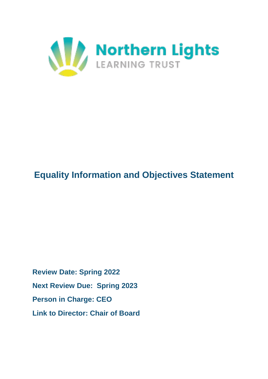

# **Equality Information and Objectives Statement**

**Review Date: Spring 2022 Next Review Due: Spring 2023 Person in Charge: CEO Link to Director: Chair of Board**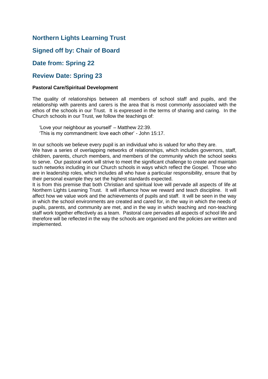### **Northern Lights Learning Trust**

### **Signed off by: Chair of Board**

### **Date from: Spring 22**

### **Review Date: Spring 23**

#### **Pastoral Care/Spiritual Development**

The quality of relationships between all members of school staff and pupils, and the relationship with parents and carers is the area that is most commonly associated with the ethos of the schools in our Trust. It is expressed in the terms of sharing and caring. In the Church schools in our Trust, we follow the teachings of:

 'Love your neighbour as yourself' – Matthew 22:39. 'This is my commandment: love each other' - John 15:17.

In our schools we believe every pupil is an individual who is valued for who they are.

We have a series of overlapping networks of relationships, which includes governors, staff, children, parents, church members, and members of the community which the school seeks to serve. Our pastoral work will strive to meet the significant challenge to create and maintain such networks including in our Church schools in ways which reflect the Gospel. Those who are in leadership roles, which includes all who have a particular responsibility, ensure that by their personal example they set the highest standards expected.

It is from this premise that both Christian and spiritual love will pervade all aspects of life at Northern Lights Learning Trust. It will influence how we reward and teach discipline. It will affect how we value work and the achievements of pupils and staff. It will be seen in the way in which the school environments are created and cared for, in the way in which the needs of pupils, parents, and community are met, and in the way in which teaching and non-teaching staff work together effectively as a team. Pastoral care pervades all aspects of school life and therefore will be reflected in the way the schools are organised and the policies are written and implemented.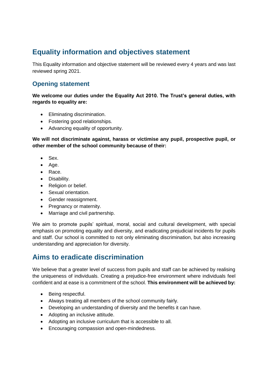# **Equality information and objectives statement**

This Equality information and objective statement will be reviewed every 4 years and was last reviewed spring 2021.

### **Opening statement**

**We welcome our duties under the Equality Act 2010. The Trust's general duties, with regards to equality are:** 

- Eliminating discrimination.
- Fostering good relationships.
- Advancing equality of opportunity.

**We will not discriminate against, harass or victimise any pupil, prospective pupil, or other member of the school community because of their:**

- Sex.
- Age.
- Race.
- Disability.
- Religion or belief.
- Sexual orientation.
- Gender reassignment.
- Pregnancy or maternity.
- Marriage and civil partnership.

We aim to promote pupils' spiritual, moral, social and cultural development, with special emphasis on promoting equality and diversity, and eradicating prejudicial incidents for pupils and staff. Our school is committed to not only eliminating discrimination, but also increasing understanding and appreciation for diversity.

# **Aims to eradicate discrimination**

We believe that a greater level of success from pupils and staff can be achieved by realising the uniqueness of individuals. Creating a prejudice-free environment where individuals feel confident and at ease is a commitment of the school. **This environment will be achieved by:** 

- Being respectful.
- Always treating all members of the school community fairly.
- Developing an understanding of diversity and the benefits it can have.
- Adopting an inclusive attitude.
- Adopting an inclusive curriculum that is accessible to all.
- **Encouraging compassion and open-mindedness.**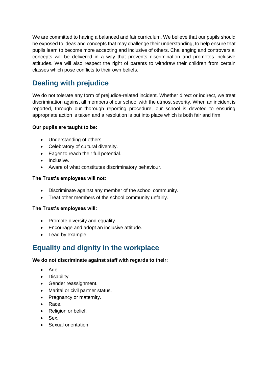We are committed to having a balanced and fair curriculum. We believe that our pupils should be exposed to ideas and concepts that may challenge their understanding, to help ensure that pupils learn to become more accepting and inclusive of others. Challenging and controversial concepts will be delivered in a way that prevents discrimination and promotes inclusive attitudes. We will also respect the right of parents to withdraw their children from certain classes which pose conflicts to their own beliefs.

# **Dealing with prejudice**

We do not tolerate any form of prejudice-related incident. Whether direct or indirect, we treat discrimination against all members of our school with the utmost severity. When an incident is reported, through our thorough reporting procedure, our school is devoted to ensuring appropriate action is taken and a resolution is put into place which is both fair and firm.

#### **Our pupils are taught to be:**

- Understanding of others.
- Celebratory of cultural diversity.
- Eager to reach their full potential.
- Inclusive.
- Aware of what constitutes discriminatory behaviour.

#### **The Trust's employees will not:**

- Discriminate against any member of the school community.
- Treat other members of the school community unfairly.

#### **The Trust's employees will:**

- Promote diversity and equality.
- Encourage and adopt an inclusive attitude.
- Lead by example.

# **Equality and dignity in the workplace**

#### **We do not discriminate against staff with regards to their:**

- Age.
- Disability.
- Gender reassignment.
- Marital or civil partner status.
- Pregnancy or maternity.
- Race.
- Religion or belief.
- Sex.
- Sexual orientation.